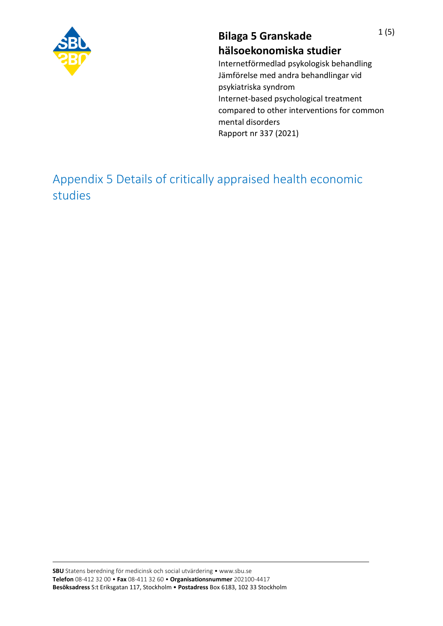

## **Bilaga 5 Granskade hälsoekonomiska studier**

Internetförmedlad psykologisk behandling Jämförelse med andra behandlingar vid psykiatriska syndrom Internet-based psychological treatment compared to other interventions for common mental disorders Rapport nr 337 (2021)

Appendix 5 Details of critically appraised health economic studies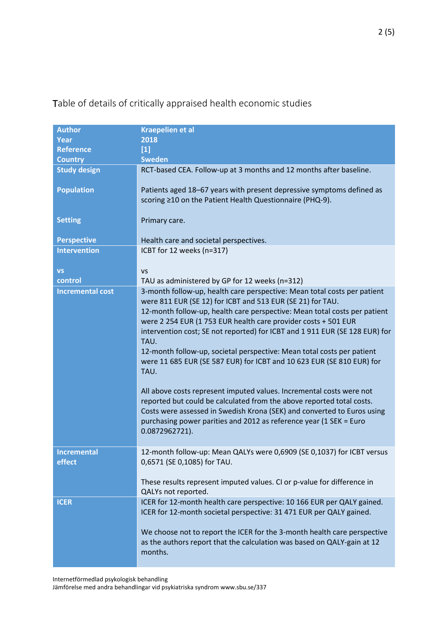| <b>Author</b>           | <b>Kraepelien et al</b>                                                     |
|-------------------------|-----------------------------------------------------------------------------|
| <b>Year</b>             | 2018                                                                        |
| <b>Reference</b>        | $[1]$                                                                       |
| <b>Country</b>          | <b>Sweden</b>                                                               |
|                         |                                                                             |
| <b>Study design</b>     | RCT-based CEA. Follow-up at 3 months and 12 months after baseline.          |
|                         |                                                                             |
| <b>Population</b>       | Patients aged 18-67 years with present depressive symptoms defined as       |
|                         | scoring ≥10 on the Patient Health Questionnaire (PHQ-9).                    |
|                         |                                                                             |
| <b>Setting</b>          | Primary care.                                                               |
|                         |                                                                             |
| <b>Perspective</b>      | Health care and societal perspectives.                                      |
| <b>Intervention</b>     | ICBT for 12 weeks (n=317)                                                   |
|                         |                                                                             |
| <b>VS</b>               | <b>VS</b>                                                                   |
| control                 | TAU as administered by GP for 12 weeks (n=312)                              |
| <b>Incremental cost</b> | 3-month follow-up, health care perspective: Mean total costs per patient    |
|                         | were 811 EUR (SE 12) for ICBT and 513 EUR (SE 21) for TAU.                  |
|                         | 12-month follow-up, health care perspective: Mean total costs per patient   |
|                         | were 2 254 EUR (1 753 EUR health care provider costs + 501 EUR              |
|                         | intervention cost; SE not reported) for ICBT and 1 911 EUR (SE 128 EUR) for |
|                         | TAU.                                                                        |
|                         | 12-month follow-up, societal perspective: Mean total costs per patient      |
|                         | were 11 685 EUR (SE 587 EUR) for ICBT and 10 623 EUR (SE 810 EUR) for       |
|                         | TAU.                                                                        |
|                         |                                                                             |
|                         | All above costs represent imputed values. Incremental costs were not        |
|                         | reported but could be calculated from the above reported total costs.       |
|                         | Costs were assessed in Swedish Krona (SEK) and converted to Euros using     |
|                         | purchasing power parities and 2012 as reference year (1 SEK = Euro          |
|                         | 0.0872962721).                                                              |
|                         |                                                                             |
| <b>Incremental</b>      | 12-month follow-up: Mean QALYs were 0,6909 (SE 0,1037) for ICBT versus      |
| effect                  | 0,6571 (SE 0,1085) for TAU.                                                 |
|                         |                                                                             |
|                         | These results represent imputed values. CI or p-value for difference in     |
|                         | QALYs not reported.                                                         |
| <b>ICER</b>             | ICER for 12-month health care perspective: 10 166 EUR per QALY gained.      |
|                         | ICER for 12-month societal perspective: 31 471 EUR per QALY gained.         |
|                         |                                                                             |
|                         | We choose not to report the ICER for the 3-month health care perspective    |
|                         |                                                                             |
|                         | as the authors report that the calculation was based on QALY-gain at 12     |
|                         | months.                                                                     |

Table of details of critically appraised health economic studies

Internetförmedlad psykologisk behandling

Jämförelse med andra behandlingar vid psykiatriska syndrom www.sbu.se/337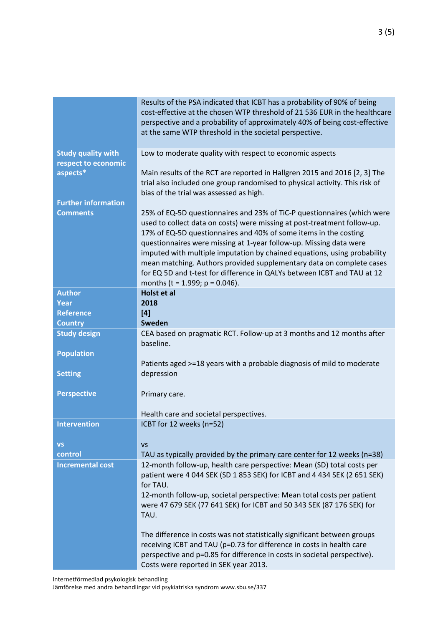|                                                  | Results of the PSA indicated that ICBT has a probability of 90% of being<br>cost-effective at the chosen WTP threshold of 21 536 EUR in the healthcare<br>perspective and a probability of approximately 40% of being cost-effective<br>at the same WTP threshold in the societal perspective.                                                                                                                                                                                                                                                                       |
|--------------------------------------------------|----------------------------------------------------------------------------------------------------------------------------------------------------------------------------------------------------------------------------------------------------------------------------------------------------------------------------------------------------------------------------------------------------------------------------------------------------------------------------------------------------------------------------------------------------------------------|
| <b>Study quality with</b><br>respect to economic | Low to moderate quality with respect to economic aspects                                                                                                                                                                                                                                                                                                                                                                                                                                                                                                             |
| aspects*                                         | Main results of the RCT are reported in Hallgren 2015 and 2016 [2, 3] The<br>trial also included one group randomised to physical activity. This risk of<br>bias of the trial was assessed as high.                                                                                                                                                                                                                                                                                                                                                                  |
| <b>Further information</b><br><b>Comments</b>    | 25% of EQ-5D questionnaires and 23% of TiC-P questionnaires (which were<br>used to collect data on costs) were missing at post-treatment follow-up.<br>17% of EQ-5D questionnaires and 40% of some items in the costing<br>questionnaires were missing at 1-year follow-up. Missing data were<br>imputed with multiple imputation by chained equations, using probability<br>mean matching. Authors provided supplementary data on complete cases<br>for EQ 5D and t-test for difference in QALYs between ICBT and TAU at 12<br>months (t = $1.999$ ; p = $0.046$ ). |
| <b>Author</b><br>Year                            | Holst et al<br>2018                                                                                                                                                                                                                                                                                                                                                                                                                                                                                                                                                  |
| <b>Reference</b>                                 | [4]                                                                                                                                                                                                                                                                                                                                                                                                                                                                                                                                                                  |
| <b>Country</b>                                   | Sweden                                                                                                                                                                                                                                                                                                                                                                                                                                                                                                                                                               |
| <b>Study design</b>                              | CEA based on pragmatic RCT. Follow-up at 3 months and 12 months after                                                                                                                                                                                                                                                                                                                                                                                                                                                                                                |
|                                                  | baseline.                                                                                                                                                                                                                                                                                                                                                                                                                                                                                                                                                            |
| <b>Population</b>                                |                                                                                                                                                                                                                                                                                                                                                                                                                                                                                                                                                                      |
| <b>Setting</b>                                   | Patients aged >=18 years with a probable diagnosis of mild to moderate<br>depression                                                                                                                                                                                                                                                                                                                                                                                                                                                                                 |
| <b>Perspective</b>                               | Primary care.                                                                                                                                                                                                                                                                                                                                                                                                                                                                                                                                                        |
|                                                  | Health care and societal perspectives.                                                                                                                                                                                                                                                                                                                                                                                                                                                                                                                               |
| <b>Intervention</b>                              | ICBT for 12 weeks (n=52)                                                                                                                                                                                                                                                                                                                                                                                                                                                                                                                                             |
| <b>VS</b>                                        | <b>VS</b>                                                                                                                                                                                                                                                                                                                                                                                                                                                                                                                                                            |
| control                                          | TAU as typically provided by the primary care center for 12 weeks (n=38)                                                                                                                                                                                                                                                                                                                                                                                                                                                                                             |
| <b>Incremental cost</b>                          | 12-month follow-up, health care perspective: Mean (SD) total costs per<br>patient were 4 044 SEK (SD 1 853 SEK) for ICBT and 4 434 SEK (2 651 SEK)<br>for TAU.<br>12-month follow-up, societal perspective: Mean total costs per patient<br>were 47 679 SEK (77 641 SEK) for ICBT and 50 343 SEK (87 176 SEK) for<br>TAU.                                                                                                                                                                                                                                            |
|                                                  | The difference in costs was not statistically significant between groups<br>receiving ICBT and TAU (p=0.73 for difference in costs in health care<br>perspective and p=0.85 for difference in costs in societal perspective).<br>Costs were reported in SEK year 2013.                                                                                                                                                                                                                                                                                               |

Internetförmedlad psykologisk behandling

Jämförelse med andra behandlingar vid psykiatriska syndrom www.sbu.se/337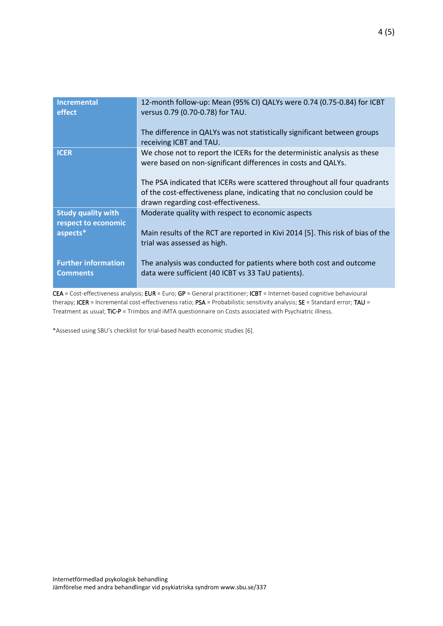| <b>Incremental</b><br>effect                     | 12-month follow-up: Mean (95% CI) QALYs were 0.74 (0.75-0.84) for ICBT<br>versus 0.79 (0.70-0.78) for TAU.                                                                                  |
|--------------------------------------------------|---------------------------------------------------------------------------------------------------------------------------------------------------------------------------------------------|
|                                                  | The difference in QALYs was not statistically significant between groups<br>receiving ICBT and TAU.                                                                                         |
| <b>ICER</b>                                      | We chose not to report the ICERs for the deterministic analysis as these<br>were based on non-significant differences in costs and QALYs.                                                   |
|                                                  | The PSA indicated that ICERs were scattered throughout all four quadrants<br>of the cost-effectiveness plane, indicating that no conclusion could be<br>drawn regarding cost-effectiveness. |
| <b>Study quality with</b><br>respect to economic | Moderate quality with respect to economic aspects                                                                                                                                           |
| aspects*                                         | Main results of the RCT are reported in Kivi 2014 [5]. This risk of bias of the<br>trial was assessed as high.                                                                              |
| <b>Further information</b><br><b>Comments</b>    | The analysis was conducted for patients where both cost and outcome<br>data were sufficient (40 ICBT vs 33 TaU patients).                                                                   |

CEA = Cost-effectiveness analysis; EUR = Euro; GP = General practitioner; ICBT = Internet-based cognitive behavioural therapy; ICER = Incremental cost-effectiveness ratio;  $PSA$  = Probabilistic sensitivity analysis;  $SE$  = Standard error; TAU = Treatment as usual; TiC-P = Trimbos and iMTA questionnaire on Costs associated with Psychiatric illness.

\*Assessed using SBU's checklist for trial-based health economic studies [6].